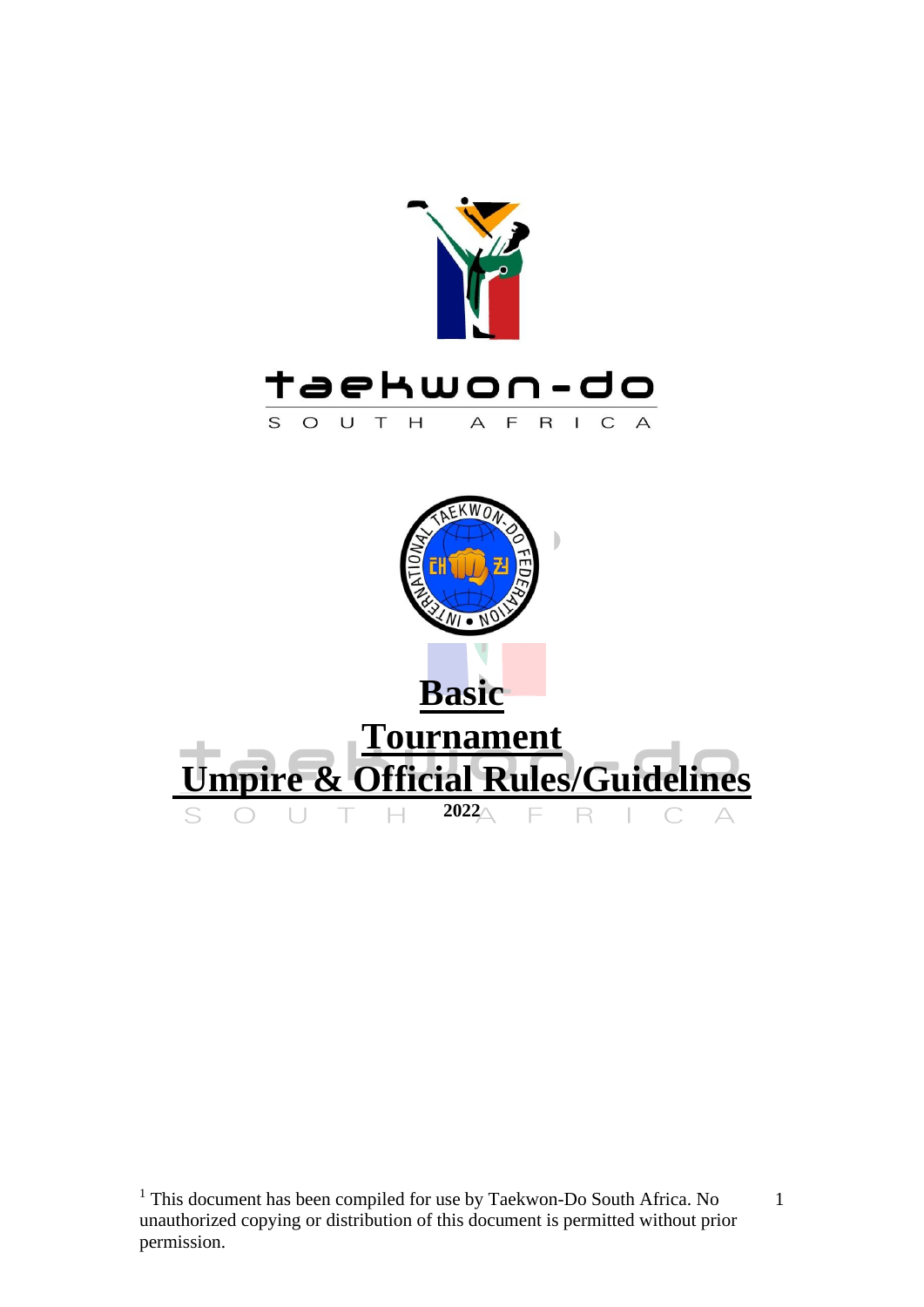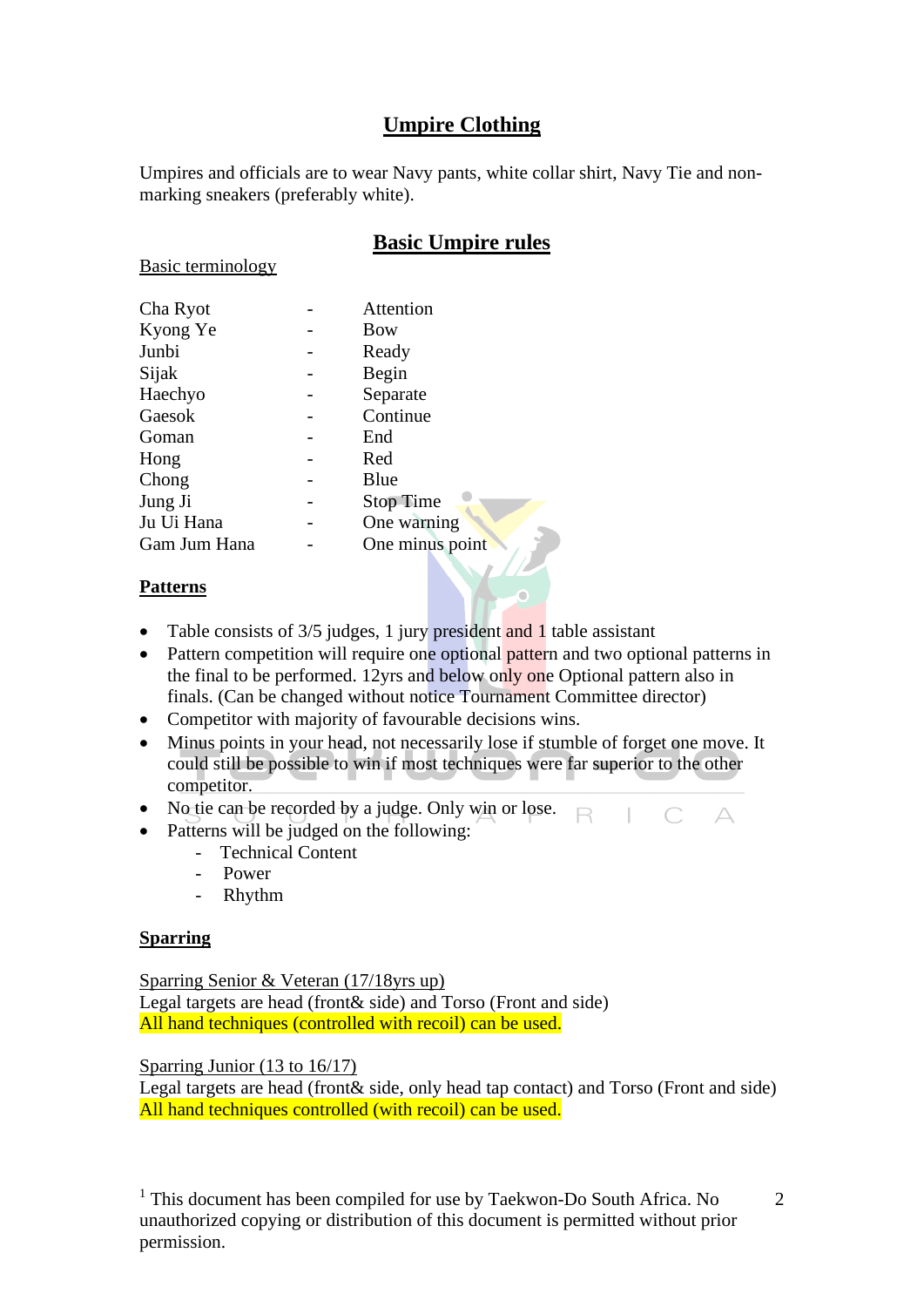# **Umpire Clothing**

Umpires and officials are to wear Navy pants, white collar shirt, Navy Tie and nonmarking sneakers (preferably white).

# **Basic Umpire rules**

Basic terminology

| Attention        |
|------------------|
| <b>Bow</b>       |
| Ready            |
| Begin            |
| Separate         |
| Continue         |
| End              |
| Red              |
| Blue             |
| <b>Stop Time</b> |
| One warning      |
| One minus point  |
|                  |
|                  |

#### **Patterns**

- Table consists of 3/5 judges, 1 jury president and 1 table assistant
- Pattern competition will require one optional pattern and two optional patterns in the final to be performed. 12yrs and below only one Optional pattern also in finals. (Can be changed without notice Tournament Committee director)
- Competitor with majority of favourable decisions wins.
- Minus points in your head, not necessarily lose if stumble of forget one move. It could still be possible to win if most techniques were far superior to the other competitor.
- No tie can be recorded by a judge. Only win or lose.  $\Box$
- Patterns will be judged on the following:
	- Technical Content
	- Power
	- Rhythm

#### **Sparring**

Sparring Senior & Veteran (17/18yrs up) Legal targets are head (front& side) and Torso (Front and side) All hand techniques (controlled with recoil) can be used.

Sparring Junior (13 to 16/17)

Legal targets are head (front& side, only head tap contact) and Torso (Front and side) All hand techniques controlled (with recoil) can be used.

<sup>1</sup> This document has been compiled for use by Taekwon-Do South Africa. No unauthorized copying or distribution of this document is permitted without prior permission.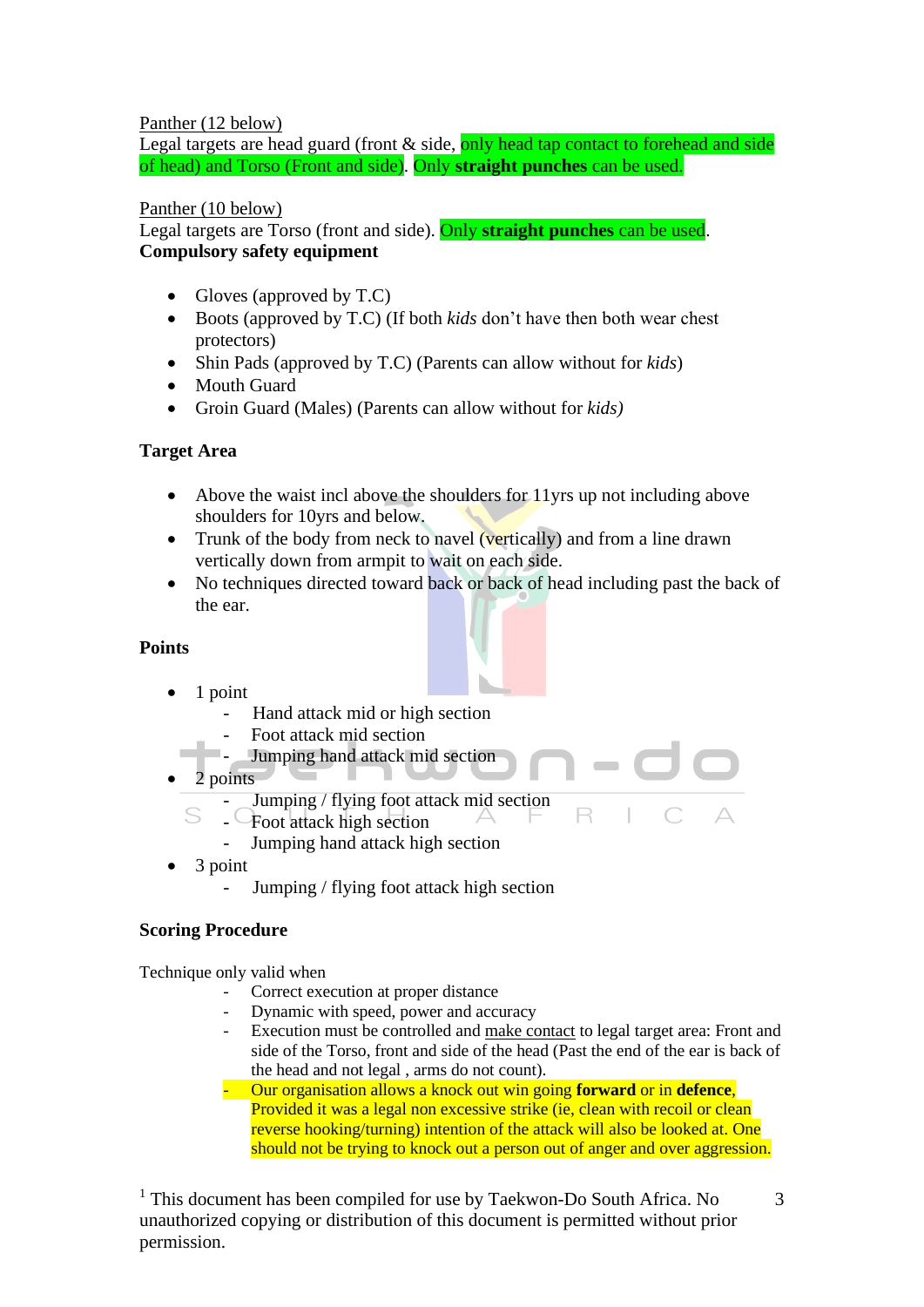#### Panther (12 below)

Legal targets are head guard (front  $&$  side, only head tap contact to forehead and side of head) and Torso (Front and side). Only **straight punches** can be used.

#### Panther (10 below)

Legal targets are Torso (front and side). Only **straight punches** can be used. **Compulsory safety equipment**

- Gloves (approved by T.C)
- Boots (approved by T.C) (If both *kids* don't have then both wear chest protectors)
- Shin Pads (approved by T.C) (Parents can allow without for *kids*)
- **Mouth Guard**
- Groin Guard (Males) (Parents can allow without for *kids)*

#### **Target Area**

- Above the waist incl above the shoulders for 11yrs up not including above shoulders for 10yrs and below.
- Trunk of the body from neck to navel (vertically) and from a line drawn vertically down from armpit to wait on each side.
- No techniques directed toward back or back of head including past the back of the ear.

#### **Points**

- 1 point
	- Hand attack mid or high section
	- Foot attack mid section
	- Jumping hand attack mid section
- 2 points
	- Jumping / flying foot attack mid section
	- S - Foot attack high section
		- Jumping hand attack high section
- 3 point
	- Jumping / flying foot attack high section

#### **Scoring Procedure**

Technique only valid when

- Correct execution at proper distance
- Dynamic with speed, power and accuracy
- Execution must be controlled and make contact to legal target area: Front and side of the Torso, front and side of the head (Past the end of the ear is back of the head and not legal , arms do not count).

R

- Our organisation allows a knock out win going **forward** or in **defence**, Provided it was a legal non excessive strike (ie, clean with recoil or clean reverse hooking/turning) intention of the attack will also be looked at. One should not be trying to knock out a person out of anger and over aggression.

<sup>1</sup> This document has been compiled for use by Taekwon-Do South Africa. No unauthorized copying or distribution of this document is permitted without prior permission.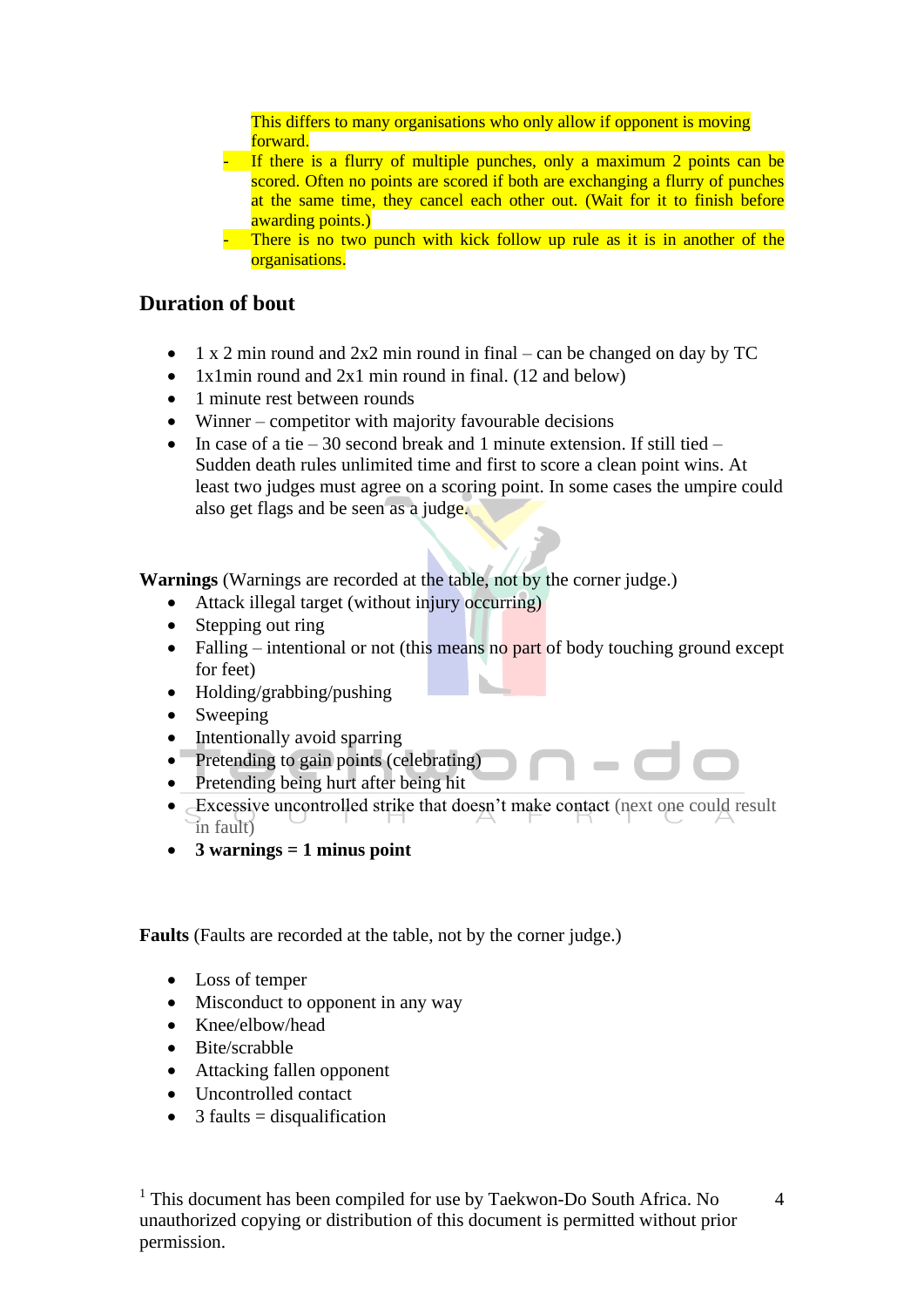This differs to many organisations who only allow if opponent is moving forward.

- If there is a flurry of multiple punches, only a maximum 2 points can be scored. Often no points are scored if both are exchanging a flurry of punches at the same time, they cancel each other out. (Wait for it to finish before awarding points.)
- There is no two punch with kick follow up rule as it is in another of the organisations.

## **Duration of bout**

- 1 x 2 min round and  $2x2$  min round in final can be changed on day by TC
- 1x1min round and 2x1 min round in final. (12 and below)
- 1 minute rest between rounds
- Winner competitor with majority favourable decisions
- In case of a tie 30 second break and 1 minute extension. If still tied Sudden death rules unlimited time and first to score a clean point wins. At least two judges must agree on a scoring point. In some cases the umpire could also get flags and be seen as a judge.

**Warnings** (Warnings are recorded at the table, not by the corner judge.)

- Attack illegal target (without injury occurring)
- Stepping out ring
- Falling intentional or not (this means no part of body touching ground except for feet)
- Holding/grabbing/pushing
- Sweeping
- Intentionally avoid sparring<br>• Pretending to gain points (ce
- Pretending to gain points (celebrating)
- Pretending being hurt after being hit
- Excessive uncontrolled strike that doesn't make contact (next one could result in fault)
- **3 warnings = 1 minus point**

**Faults** (Faults are recorded at the table, not by the corner judge.)

- Loss of temper
- Misconduct to opponent in any way
- Knee/elbow/head
- Bite/scrabble
- Attacking fallen opponent
- Uncontrolled contact
- 3 faults  $=$  disqualification

<sup>1</sup> This document has been compiled for use by Taekwon-Do South Africa. No unauthorized copying or distribution of this document is permitted without prior permission.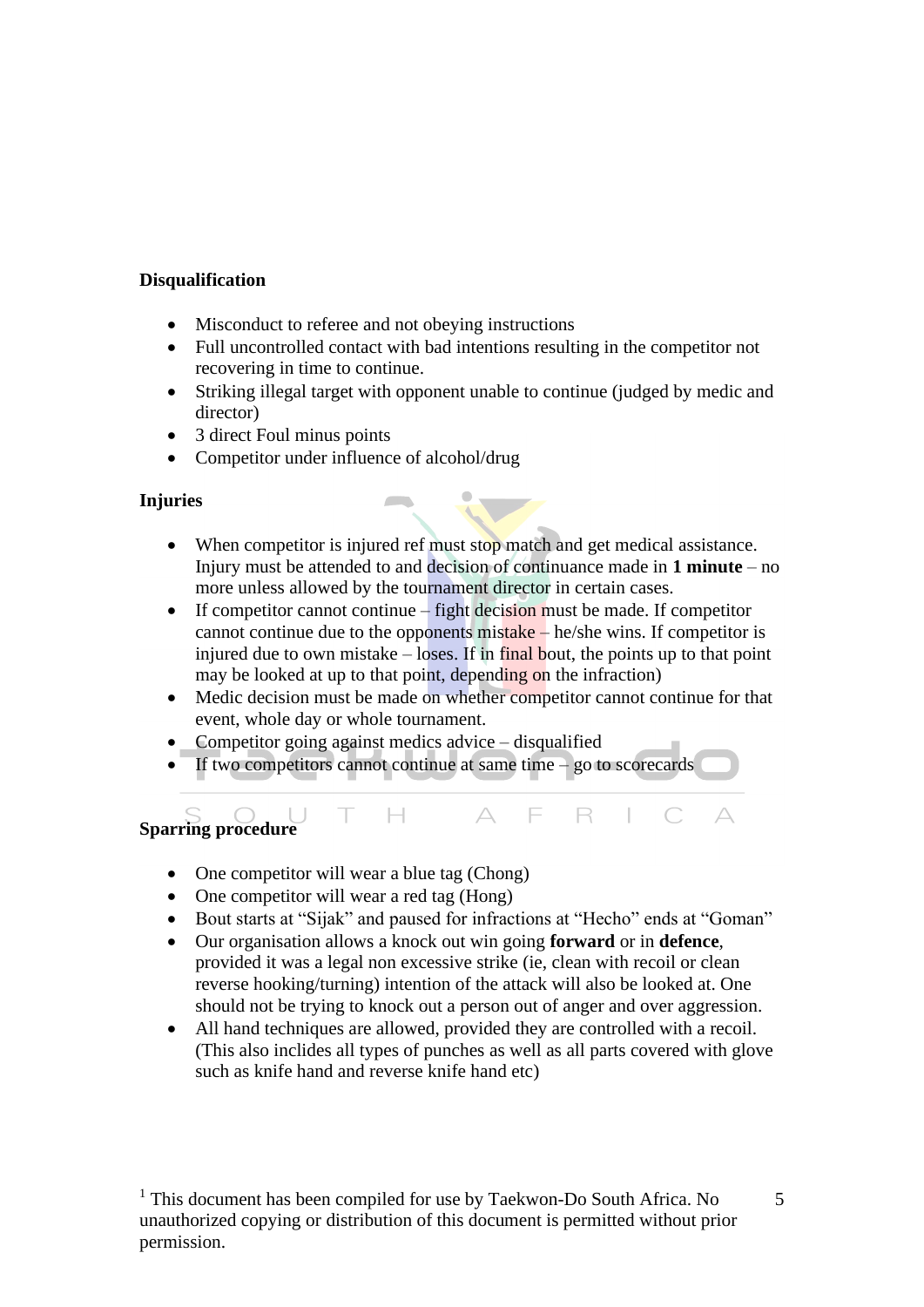#### **Disqualification**

- Misconduct to referee and not obeying instructions
- Full uncontrolled contact with bad intentions resulting in the competitor not recovering in time to continue.
- Striking illegal target with opponent unable to continue (judged by medic and director)
- 3 direct Foul minus points
- Competitor under influence of alcohol/drug

#### **Injuries**

- When competitor is injured ref must stop match and get medical assistance. Injury must be attended to and decision of continuance made in **1 minute** – no more unless allowed by the tournament director in certain cases.
- If competitor cannot continue  $-$  fight decision must be made. If competitor cannot continue due to the opponents mistake – he/she wins. If competitor is injured due to own mistake  $-$  loses. If in final bout, the points up to that point may be looked at up to that point, depending on the infraction)
- Medic decision must be made on whether competitor cannot continue for that event, whole day or whole tournament.

E

 $R \mid$ 

 $\subset$ 

• Competitor going against medics advice – disqualified

 $\Box$ 

If two competitors cannot continue at same time  $-$  go to scorecards

# **Sparring procedure**

• One competitor will wear a blue tag (Chong)

 $\top$ 

- One competitor will wear a red tag (Hong)
- Bout starts at "Sijak" and paused for infractions at "Hecho" ends at "Goman"
- Our organisation allows a knock out win going **forward** or in **defence**, provided it was a legal non excessive strike (ie, clean with recoil or clean reverse hooking/turning) intention of the attack will also be looked at. One should not be trying to knock out a person out of anger and over aggression.
- All hand techniques are allowed, provided they are controlled with a recoil. (This also inclides all types of punches as well as all parts covered with glove such as knife hand and reverse knife hand etc)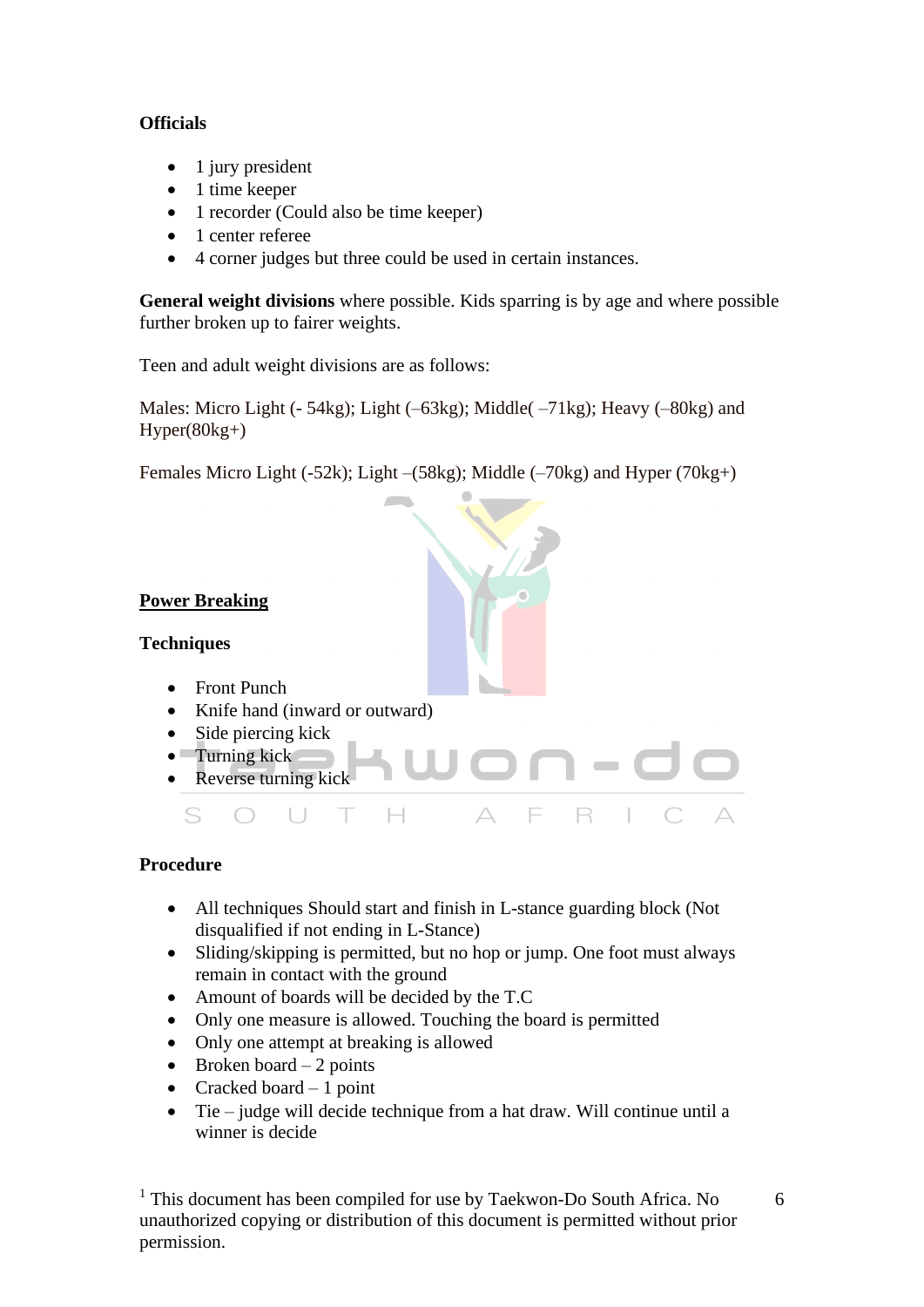## **Officials**

- 1 jury president
- 1 time keeper
- 1 recorder (Could also be time keeper)
- 1 center referee
- 4 corner judges but three could be used in certain instances.

**General weight divisions** where possible. Kids sparring is by age and where possible further broken up to fairer weights.

Teen and adult weight divisions are as follows:

Males: Micro Light (- 54kg); Light (–63kg); Middle( –71kg); Heavy (–80kg) and  $Hyper(80kg+)$ 

Females Micro Light (-52k); Light –(58kg); Middle (–70kg) and Hyper (70kg+)

## **Power Breaking**

#### **Techniques**

- Front Punch
- Knife hand (inward or outward)
- Side piercing kick
- Turning kick Reverse turning kick  $\triangle$  $\subseteq$  $\bigcap$  $\Box$ T  $\Box$ E R

#### **Procedure**

- All techniques Should start and finish in L-stance guarding block (Not disqualified if not ending in L-Stance)
- Sliding/skipping is permitted, but no hop or jump. One foot must always remain in contact with the ground
- Amount of boards will be decided by the T.C
- Only one measure is allowed. Touching the board is permitted
- Only one attempt at breaking is allowed
- Broken board  $-2$  points
- Cracked board  $-1$  point
- Tie judge will decide technique from a hat draw. Will continue until a winner is decide

<sup>1</sup> This document has been compiled for use by Taekwon-Do South Africa. No unauthorized copying or distribution of this document is permitted without prior permission.